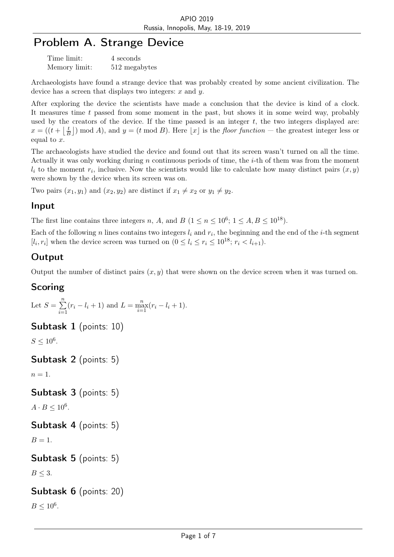# Problem A. Strange Device

| Time limit:   | 4 seconds     |
|---------------|---------------|
| Memory limit: | 512 megabytes |

Archaeologists have found a strange device that was probably created by some ancient civilization. The device has a screen that displays two integers: *x* and *y*.

After exploring the device the scientists have made a conclusion that the device is kind of a clock. It measures time *t* passed from some moment in the past, but shows it in some weird way, probably used by the creators of the device. If the time passed is an integer  $t$ , the two integers displayed are:  $x = ((t + | \frac{t}{t})$  $\frac{t}{B}$ ) mod *A*), and  $y = (t \mod B)$ . Here  $\lfloor x \rfloor$  is the *floor function* — the greatest integer less or equal to *x*.

The archaeologists have studied the device and found out that its screen wasn't turned on all the time. Actually it was only working during *n* continuous periods of time, the *i*-th of them was from the moment  $l_i$  to the moment  $r_i$ , inclusive. Now the scientists would like to calculate how many distinct pairs  $(x, y)$ were shown by the device when its screen was on.

Two pairs  $(x_1, y_1)$  and  $(x_2, y_2)$  are distinct if  $x_1 \neq x_2$  or  $y_1 \neq y_2$ .

#### Input

The first line contains three integers *n*, *A*, and *B*  $(1 \le n \le 10^6; 1 \le A, B \le 10^{18})$ .

Each of the following *n* lines contains two integers *l<sup>i</sup>* and *r<sup>i</sup>* , the beginning and the end of the *i*-th segment  $[l_i, r_i]$  when the device screen was turned on  $(0 \leq l_i \leq r_i \leq 10^{18}; r_i < l_{i+1})$ .

#### **Output**

Output the number of distinct pairs  $(x, y)$  that were shown on the device screen when it was turned on.

#### Scoring

Let 
$$
S = \sum_{i=1}^{n} (r_i - l_i + 1)
$$
 and  $L = \max_{i=1}^{n} (r_i - l_i + 1)$ .

Subtask 1 (points: 10)

 $S \le 10^6$ .

```
Subtask 2 (points: 5)
```
 $n=1$ .

```
Subtask 3 (points: 5)
```
 $A \cdot B \leq 10^6$ .

```
Subtask 4 (points: 5)
```
 $B=1$ .

```
Subtask 5 (points: 5)
```
 $B \leq 3$ .

#### Subtask 6 (points: 20)

 $B \le 10^6$ .